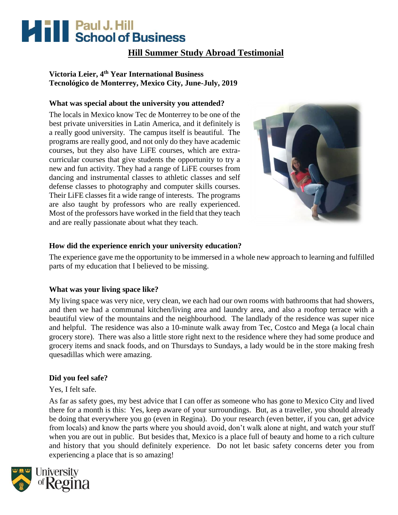# **Mill School of Business**

### **Hill Summer Study Abroad Testimonial**

### **Victoria Leier, 4th Year International Business Tecnológico de Monterrey, Mexico City, June-July, 2019**

### **What was special about the university you attended?**

The locals in Mexico know Tec de Monterrey to be one of the best private universities in Latin America, and it definitely is a really good university. The campus itself is beautiful. The programs are really good, and not only do they have academic courses, but they also have LiFE courses, which are extracurricular courses that give students the opportunity to try a new and fun activity. They had a range of LiFE courses from dancing and instrumental classes to athletic classes and self defense classes to photography and computer skills courses. Their LiFE classes fit a wide range of interests. The programs are also taught by professors who are really experienced. Most of the professors have worked in the field that they teach and are really passionate about what they teach.



### **How did the experience enrich your university education?**

The experience gave me the opportunity to be immersed in a whole new approach to learning and fulfilled parts of my education that I believed to be missing.

### **What was your living space like?**

My living space was very nice, very clean, we each had our own rooms with bathrooms that had showers, and then we had a communal kitchen/living area and laundry area, and also a rooftop terrace with a beautiful view of the mountains and the neighbourhood. The landlady of the residence was super nice and helpful. The residence was also a 10-minute walk away from Tec, Costco and Mega (a local chain grocery store). There was also a little store right next to the residence where they had some produce and grocery items and snack foods, and on Thursdays to Sundays, a lady would be in the store making fresh quesadillas which were amazing.

### **Did you feel safe?**

Yes, I felt safe.

As far as safety goes, my best advice that I can offer as someone who has gone to Mexico City and lived there for a month is this: Yes, keep aware of your surroundings. But, as a traveller, you should already be doing that everywhere you go (even in Regina). Do your research (even better, if you can, get advice from locals) and know the parts where you should avoid, don't walk alone at night, and watch your stuff when you are out in public. But besides that, Mexico is a place full of beauty and home to a rich culture and history that you should definitely experience. Do not let basic safety concerns deter you from experiencing a place that is so amazing!